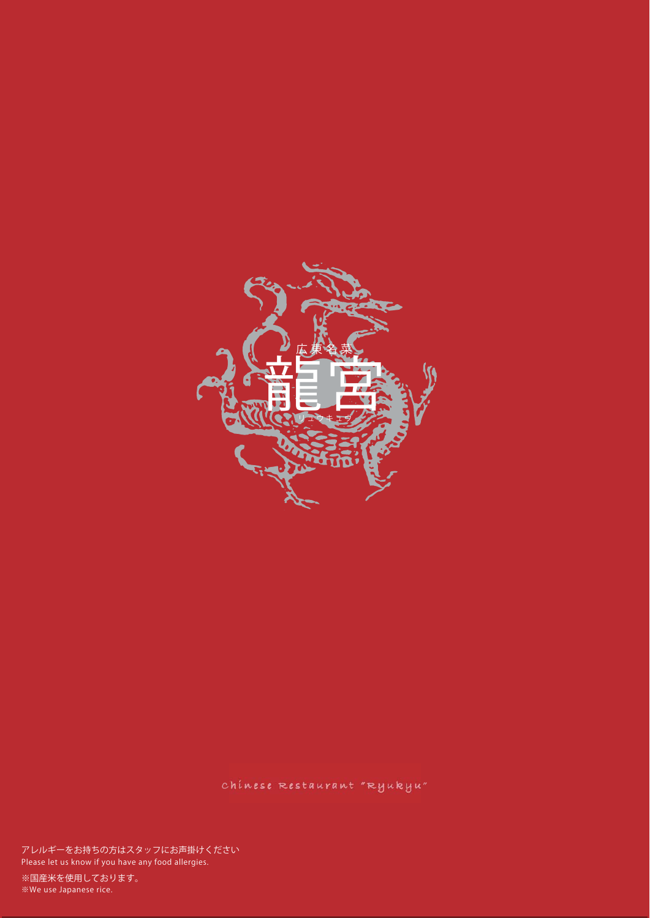

chinese Restaurant "Ryukyu"

**Please let us know if you have any food allergies. アレルギーをお持ちの方はスタッフにお声掛けください**

**※We use Japanese rice. ※国産米を使用しております。**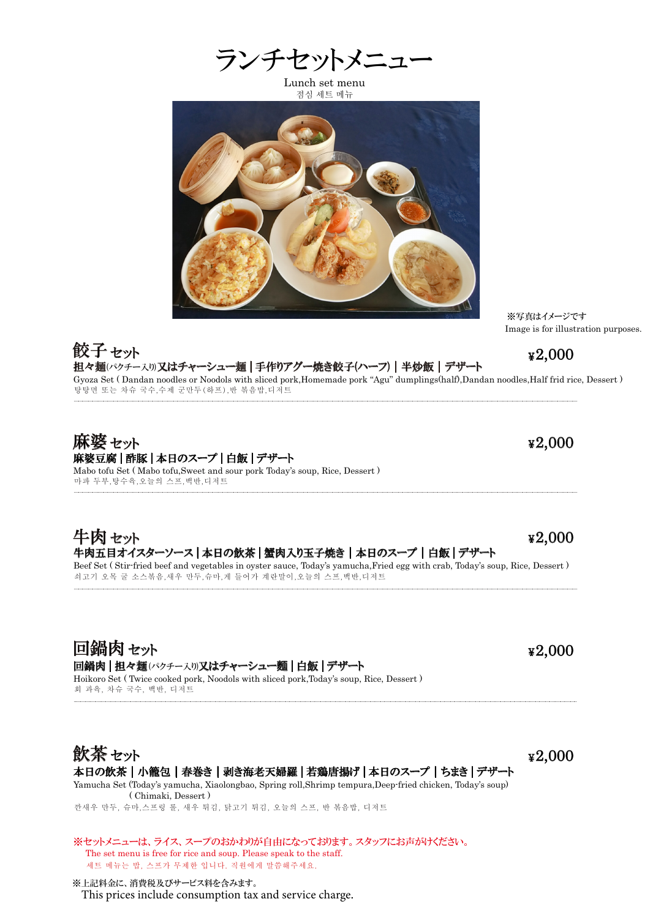Lunch set menu 점심 세트 메뉴



# 餃子 セット<br>担々麺/パクチー入り)又はチャーシュー麺 | 手作りアグー焼き餃子(ハーフ) | 半炒飯 | デザート ¥2,000 餃子セット

탕탕면 또는 차슈 국수,수제 군만두(하프),반 볶음밥,디저트 Gyoza Set ( Dandan noodles or Noodols with sliced pork,Homemade pork "Agu" dumplings(half),Dandan noodles,Half frid rice, Dessert )

## 麻婆豆腐 | 酢豚 | 本日のスープ | 白飯 | デザート 麻婆セット

마파 두부,탕수육,오늘의 스프,백반,디저트 Mabo tofu Set ( Mabo tofu,Sweet and sour pork Today's soup, Rice, Dessert )

### 牛肉五目オイスターソース | 本日の飲茶 | 蟹肉入り玉子焼き | 本日のスープ | 白飯 | デザート 牛肉セット

쇠고기 오목 굴 소스볶음,새우 만두,슈마,게 들어가 계란말이,오늘의 스프,백반,디저트 Beef Set ( Stir-fried beef and vegetables in oyster sauce, Today's yamucha,Fried egg with crab, Today's soup, Rice, Dessert )

回鍋肉セット 回鍋肉 | 担々麺(パクチースり)又はチャーシュー麵 | 白飯 | デザート Hoikoro Set ( Twice cooked pork, Noodols with sliced pork,Today's soup, Rice, Dessert )

회 과육, 차슈 국수, 백반, 디저트



깐새우 만두, 슈마,스프링 롤, 새우 튀김, 닭고기 튀김, 오늘의 스프, 반 볶음밥, 디저트 Yamucha Set (Today's yamucha, Xiaolongbao, Spring roll,Shrimp tempura,Deep-fried chicken, Today's soup) ( Chimaki, Dessert )

세트 메뉴는 밥, 스프가 무제한 입니다. 직원에게 말씀해주세요. ※セットメニューは、ライス、スープのおかわりが自由になっております。スタッフにお声がけください。 The set menu is free for rice and soup. Please speak to the staff.

※上記料金に、消費税及びサービス料を含みます。 This prices include consumption tax and service charge. Image is for illustration purposes.

※写真はイメージです

¥2,000

¥2,000

2,000 ¥

¥ 2,000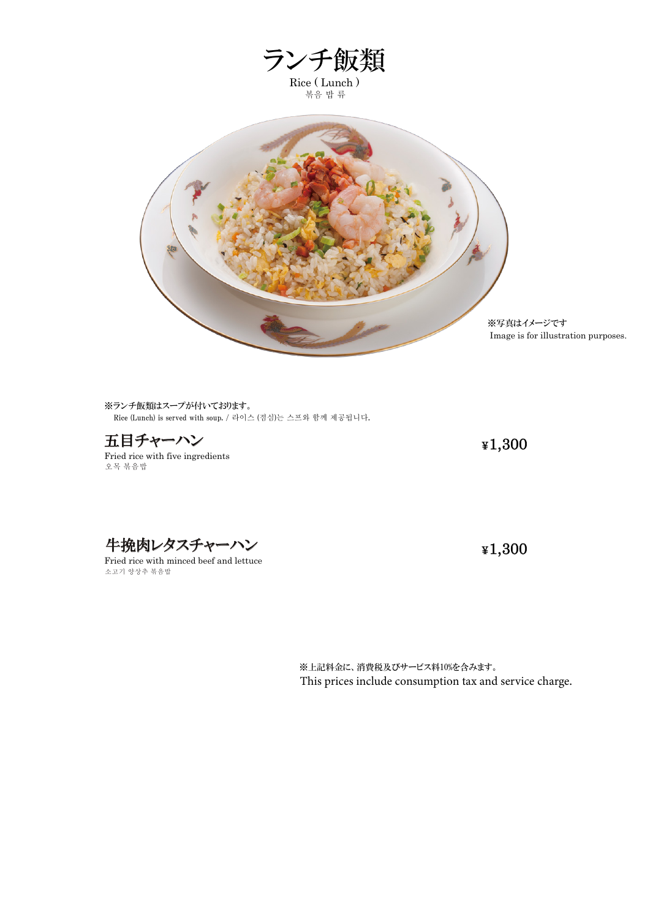

※ランチ飯類はスープが付いております。 Rice (Lunch) is served with soup. / 라이스 (점심)는 스프와 함께 제공됩니다.

五目チャーハン **\*1,300** 

오목 볶음밥 Fried rice with five ingredients

牛挽肉レタスチャーハン インファイル インファイル きょくしょう きょくしゅう きょくしゅう きょくしゅう しょくしゅう きょくしゅう

소고기 양상추 볶음밥 Fried rice with minced beef and lettuce

※上記料金に、消費税及びサービス料10%を含みます。 This prices include consumption tax and service charge.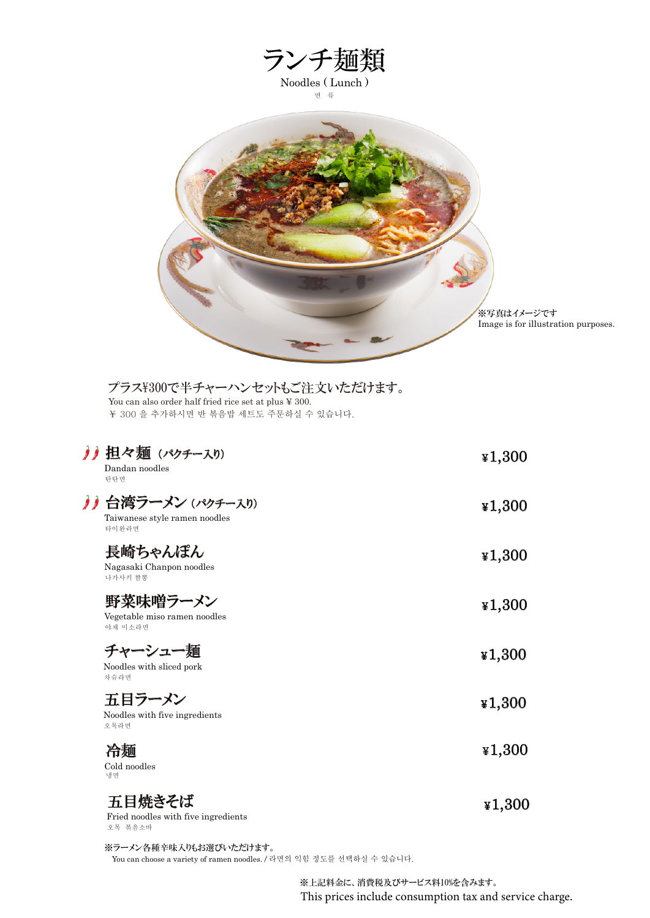

### プラス\300で半チャーハンセットもご注文いただけます。

¥ 300 을 추가하시면 반 볶음밥 세트도 주문하실 수 있습니다. You can also order half fried rice set at plus ¥ 300.

 $\lambda$ 

 $\boldsymbol{\delta}$ 

| 担々麺 (パクチー入り)<br>Dandan noodles<br>탄탄면                     | $*1,300$ |
|-----------------------------------------------------------|----------|
| 台湾ラーメン (パクチー入り)<br>Taiwanese style ramen noodles<br>타이완라면 | 41,300   |
| 長崎ちゃんぽん<br>Nagasaki Chanpon noodles<br>나가사키 짬뽕            | $*1,300$ |
| 野菜味噌ラーメン<br>Vegetable miso ramen noodles<br>야채 미소라면       | $*1,300$ |
| チャーシュー麺<br>Noodles with sliced pork<br>차슈라면               | $*1,300$ |
| 五目ラーメン<br>Noodles with five ingredients<br>오목라면           | 41,300   |
| 冷麺<br>Cold noodles<br>냉면                                  | $*1,300$ |
| 五目焼きそば<br>Fried noodles with five ingredients<br>오목 볶음소바  | ¥1,300   |

You can choose a variety of ramen noodles. / 라면의 익힘 정도를 선택하실 수 있습니다. ※ラーメン各種辛味入りもお選びいただけます。

> ※上記料金に、消費税及びサービス料10%を含みます。 This prices include consumption tax and service charge.